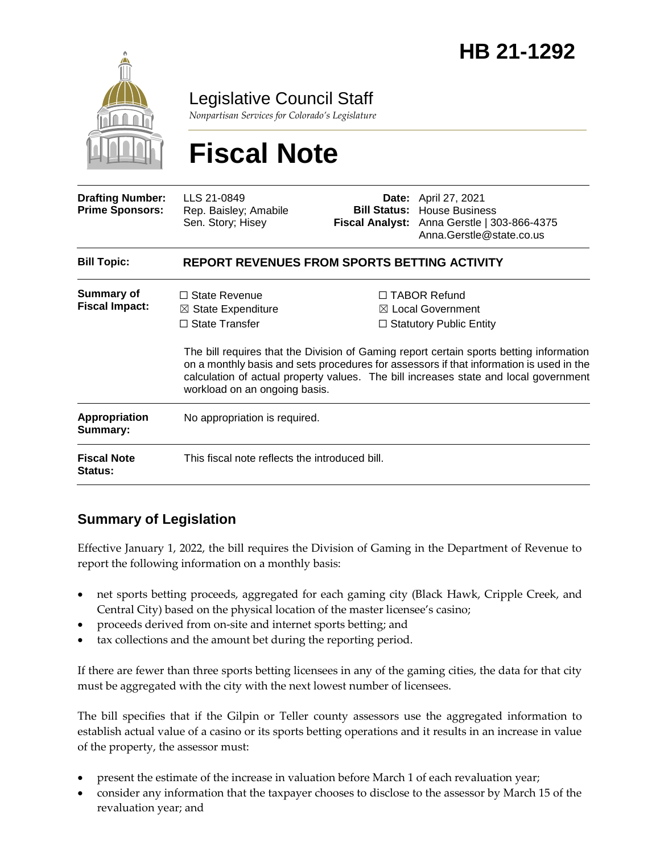

Legislative Council Staff

*Nonpartisan Services for Colorado's Legislature*

# **Fiscal Note**

| <b>Drafting Number:</b><br><b>Prime Sponsors:</b> | LLS 21-0849<br>Rep. Baisley; Amabile<br>Sen. Story; Hisey                                                       |  | <b>Date:</b> April 27, 2021<br><b>Bill Status: House Business</b><br>Fiscal Analyst: Anna Gerstle   303-866-4375<br>Anna.Gerstle@state.co.us                                                                                                                                                                                                                        |  |
|---------------------------------------------------|-----------------------------------------------------------------------------------------------------------------|--|---------------------------------------------------------------------------------------------------------------------------------------------------------------------------------------------------------------------------------------------------------------------------------------------------------------------------------------------------------------------|--|
| <b>Bill Topic:</b>                                | <b>REPORT REVENUES FROM SPORTS BETTING ACTIVITY</b>                                                             |  |                                                                                                                                                                                                                                                                                                                                                                     |  |
| Summary of<br><b>Fiscal Impact:</b>               | $\Box$ State Revenue<br>$\boxtimes$ State Expenditure<br>$\Box$ State Transfer<br>workload on an ongoing basis. |  | $\Box$ TABOR Refund<br>$\boxtimes$ Local Government<br>$\Box$ Statutory Public Entity<br>The bill requires that the Division of Gaming report certain sports betting information<br>on a monthly basis and sets procedures for assessors if that information is used in the<br>calculation of actual property values. The bill increases state and local government |  |
| <b>Appropriation</b><br>Summary:                  | No appropriation is required.                                                                                   |  |                                                                                                                                                                                                                                                                                                                                                                     |  |
| <b>Fiscal Note</b><br><b>Status:</b>              | This fiscal note reflects the introduced bill.                                                                  |  |                                                                                                                                                                                                                                                                                                                                                                     |  |

## **Summary of Legislation**

Effective January 1, 2022, the bill requires the Division of Gaming in the Department of Revenue to report the following information on a monthly basis:

- net sports betting proceeds, aggregated for each gaming city (Black Hawk, Cripple Creek, and Central City) based on the physical location of the master licensee's casino;
- proceeds derived from on-site and internet sports betting; and
- tax collections and the amount bet during the reporting period.

If there are fewer than three sports betting licensees in any of the gaming cities, the data for that city must be aggregated with the city with the next lowest number of licensees.

The bill specifies that if the Gilpin or Teller county assessors use the aggregated information to establish actual value of a casino or its sports betting operations and it results in an increase in value of the property, the assessor must:

- present the estimate of the increase in valuation before March 1 of each revaluation year;
- consider any information that the taxpayer chooses to disclose to the assessor by March 15 of the revaluation year; and